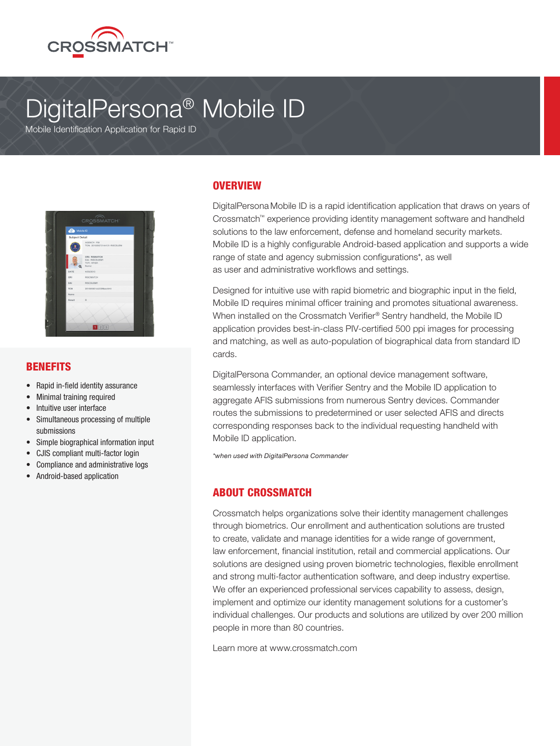

# DigitalPersona® Mobile ID

Mobile Identification Application for Rapid ID



#### BENEFITS

- Rapid in-field identity assurance
- Minimal training required
- Intuitive user interface
- Simultaneous processing of multiple submissions
- Simple biographical information input
- CJIS compliant multi‐factor login
- Compliance and administrative logs
- Android-based application

### **OVERVIEW**

DigitalPersona Mobile ID is a rapid identification application that draws on years of Crossmatch™ experience providing identity management software and handheld solutions to the law enforcement, defense and homeland security markets. Mobile ID is a highly configurable Android-based application and supports a wide range of state and agency submission configurations\*, as well as user and administrative workflows and settings.

Designed for intuitive use with rapid biometric and biographic input in the field, Mobile ID requires minimal officer training and promotes situational awareness. When installed on the Crossmatch Verifier® Sentry handheld, the Mobile ID application provides best-in-class PIV‐certified 500 ppi images for processing and matching, as well as auto-population of biographical data from standard ID cards.

DigitalPersona Commander, an optional device management software, seamlessly interfaces with Verifier Sentry and the Mobile ID application to aggregate AFIS submissions from numerous Sentry devices. Commander routes the submissions to predetermined or user selected AFIS and directs corresponding responses back to the individual requesting handheld with Mobile ID application.

*\*when used with DigitalPersona Commander*

# ABOUT CROSSMATCH

Crossmatch helps organizations solve their identity management challenges through biometrics. Our enrollment and authentication solutions are trusted to create, validate and manage identities for a wide range of government, law enforcement, financial institution, retail and commercial applications. Our solutions are designed using proven biometric technologies, flexible enrollment and strong multi-factor authentication software, and deep industry expertise. We offer an experienced professional services capability to assess, design, implement and optimize our identity management solutions for a customer's individual challenges. Our products and solutions are utilized by over 200 million people in more than 80 countries.

Learn more at www.crossmatch.com